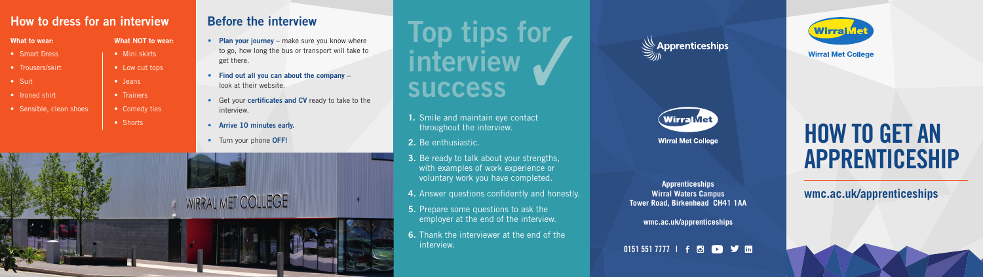**Apprenticeships Wirral Waters Campus Tower Road, Birkenhead CH41 1AA**

**wmc.ac.uk/apprenticeships**



## **HOW TO GET AN APPRENTICESHIP**

#### **How to dress for an interview**

- **Plan your journey** make sure you know where to go, how long the bus or transport will take to get there.
- **Find out all you can about the company** look at their website.
- Get your **certificates and CV** ready to take to the interview.
- **Arrive 10 minutes early.**
- Turn your phone **OFF!**



**Before the interview**<br> **Plan your journey** – make sure you know where<br> **TOP tips for interview success**  $\sqrt{2}$ 

- Smart Dress
- Trousers/skirt
- Suit
- Ironed shirt
- Sensible, clean shoes
- **1.** Smile and maintain eye contact throughout the interview.
- **2.** Be enthusiastic.
- **3.** Be ready to talk about your strengths, with examples of work experience or voluntary work you have completed.
- **4.** Answer questions confidently and honestly.
- **5.** Prepare some questions to ask the employer at the end of the interview.
- **6.** Thank the interviewer at the end of the interview.





**Wirral Met College** 



**Wirral Met College** 

#### **What to wear:**

#### **What NOT to wear:**

- Mini skirts
- Low cut tops
- Jeans
- Trainers
- Comedy ties
- Shorts

#### **wmc.ac.uk/apprenticeships**